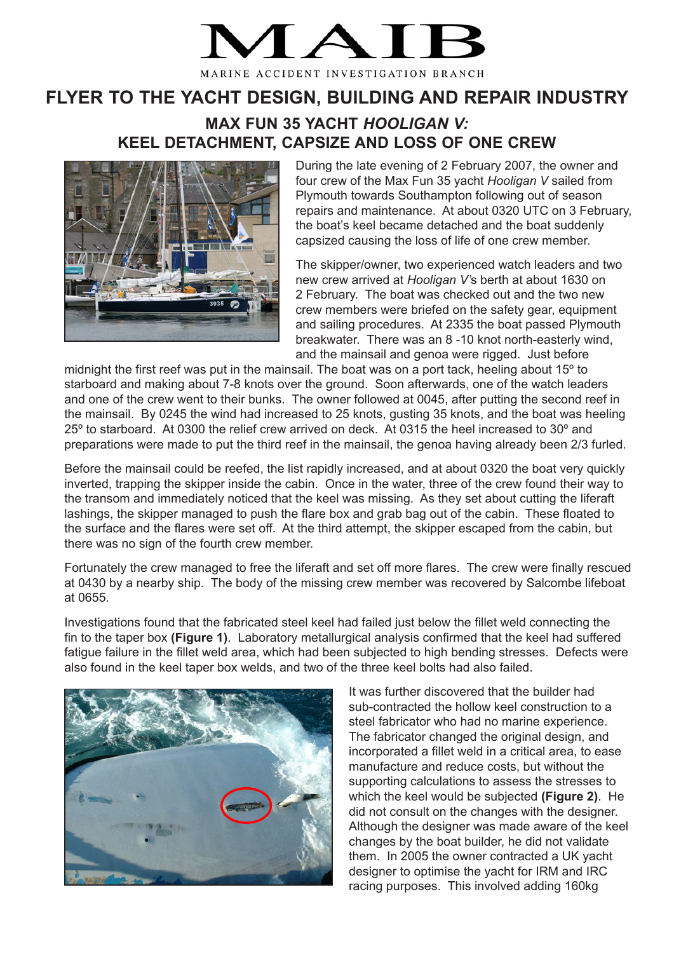

MARINE ACCIDENT INVESTIGATION BRANCH

## **FLYER TO THE YACHT DESIGN, BUILDING AND REPAIR INDUSTRY**

## **MAX FUN 35 YACHT** *HOOLIGAN V:* **KEEL DETACHMENT, CAPSIZE AND LOSS OF ONE CREW**



During the late evening of 2 February 2007, the owner and four crew of the Max Fun 35 yacht *Hooligan V* sailed from Plymouth towards Southampton following out of season repairs and maintenance. At about 0320 UTC on 3 February, the boat's keel became detached and the boat suddenly capsized causing the loss of life of one crew member.

The skipper/owner, two experienced watch leaders and two new crew arrived at *Hooligan V'*s berth at about 1630 on 2 February. The boat was checked out and the two new crew members were briefed on the safety gear, equipment and sailing procedures. At 2335 the boat passed Plymouth breakwater. There was an 8 -10 knot north-easterly wind, and the mainsail and genoa were rigged. Just before

midnight the first reef was put in the mainsail. The boat was on a port tack, heeling about 15º to starboard and making about 7-8 knots over the ground. Soon afterwards, one of the watch leaders and one of the crew went to their bunks. The owner followed at 0045, after putting the second reef in the mainsail. By 0245 the wind had increased to 25 knots, gusting 35 knots, and the boat was heeling 25º to starboard. At 0300 the relief crew arrived on deck. At 0315 the heel increased to 30º and preparations were made to put the third reef in the mainsail, the genoa having already been 2/3 furled.

Before the mainsail could be reefed, the list rapidly increased, and at about 0320 the boat very quickly inverted, trapping the skipper inside the cabin. Once in the water, three of the crew found their way to the transom and immediately noticed that the keel was missing. As they set about cutting the liferaft lashings, the skipper managed to push the flare box and grab bag out of the cabin. These floated to the surface and the flares were set off. At the third attempt, the skipper escaped from the cabin, but there was no sign of the fourth crew member.

Fortunately the crew managed to free the liferaft and set off more flares. The crew were finally rescued at 0430 by a nearby ship. The body of the missing crew member was recovered by Salcombe lifeboat at 0655.

Investigations found that the fabricated steel keel had failed just below the fillet weld connecting the fin to the taper box **(Figure 1)**. Laboratory metallurgical analysis confirmed that the keel had suffered fatigue failure in the fillet weld area, which had been subjected to high bending stresses. Defects were also found in the keel taper box welds, and two of the three keel bolts had also failed.



It was further discovered that the builder had sub-contracted the hollow keel construction to a steel fabricator who had no marine experience. The fabricator changed the original design, and incorporated a fillet weld in a critical area, to ease manufacture and reduce costs, but without the supporting calculations to assess the stresses to which the keel would be subjected **(Figure 2)**. He did not consult on the changes with the designer. Although the designer was made aware of the keel changes by the boat builder, he did not validate them. In 2005 the owner contracted a UK yacht designer to optimise the yacht for IRM and IRC racing purposes. This involved adding 160kg